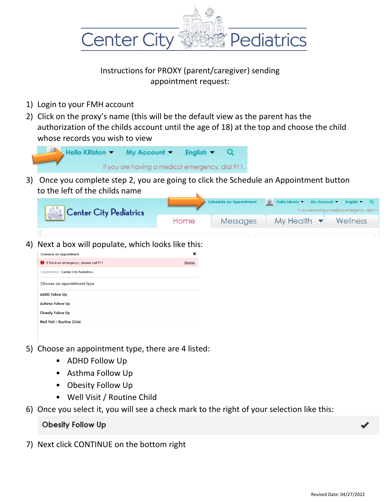

## Instructions for PROXY (parent/caregiver) sending appointment request:

- 1) Login to your FMH account
- 2) Click on the proxy's name (this will be the default view as the parent has the authorization of the childs account until the age of 18) at the top and choose the child whose records you wish to view



3) Once you complete step 2, you are going to click the Schedule an Appointment button to the left of the childs name

| Center City Pediatrics | <b>Schedule an Appointment</b> |          | Hello Liberty v My Account v English v Q<br>If you are having a medical emergency, dial 911. |  |          |
|------------------------|--------------------------------|----------|----------------------------------------------------------------------------------------------|--|----------|
|                        | Home                           | Messages | $My$ Health $\bullet$                                                                        |  | Wellness |

4) Next a box will populate, which looks like this:

| Schedule an Appointment                  |                |  |
|------------------------------------------|----------------|--|
| If this is an emergency, please call 911 | <b>Dismiss</b> |  |
| Organization Center City Pediatrics      |                |  |
| Choose an appointment type               |                |  |
| <b>ADHD Follow Up</b>                    |                |  |
| Asthma Follow Up                         |                |  |
| Obesity Follow Up                        |                |  |
| Well Visit / Routine Child               |                |  |
|                                          |                |  |

- 5) Choose an appointment type, there are 4 listed:
	- ADHD Follow Up
	- Asthma Follow Up
	- Obesity Follow Up
	- Well Visit / Routine Child
- 6) Once you select it, you will see a check mark to the right of your selection like this:

Obesity Follow Up

7) Next click CONTINUE on the bottom right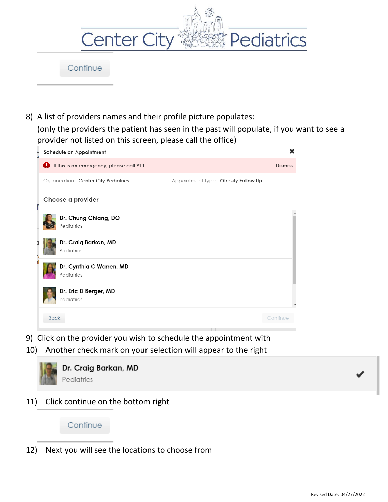| <b>Center City</b> | Pediatrics |
|--------------------|------------|
| Continue           |            |

8) A list of providers names and their profile picture populates: (only the providers the patient has seen in the past will populate, if you want to see a provider not listed on this screen, please call the office)

| Schedule an Appointment                  |                                    | ×              |
|------------------------------------------|------------------------------------|----------------|
| If this is an emergency, please call 911 |                                    | <b>Dismiss</b> |
| Organization Center City Pediatrics      | Appointment Type Obesity Follow Up |                |
| Choose a provider                        |                                    |                |
| Dr. Chung Chiang, DO<br>Pediatrics       |                                    |                |
| Dr. Craig Barkan, MD<br>Pediatrics       |                                    |                |
| Dr. Cynthia C Warren, MD<br>Pediatrics   |                                    |                |
| Dr. Eric D Berger, MD<br>Pediatrics      |                                    |                |
| <b>Back</b>                              |                                    | Continue       |

- 9) Click on the provider you wish to schedule the appointment with
- 10) Another check mark on your selection will appear to the right



11) Click continue on the bottom right

## Continue

12) Next you will see the locations to choose from